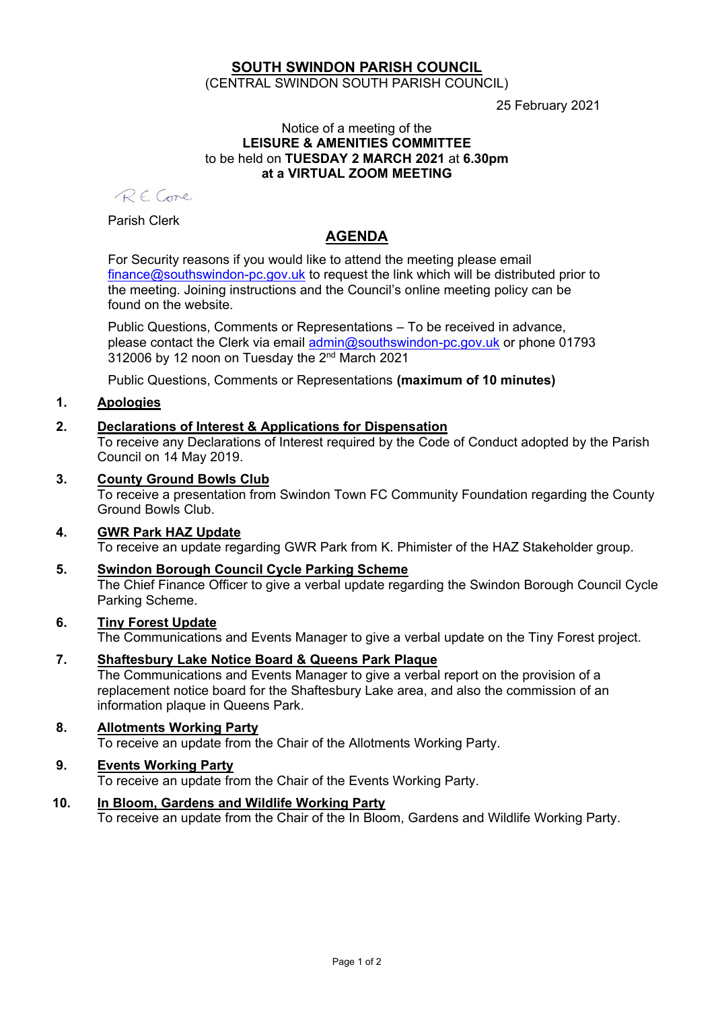### **SOUTH SWINDON PARISH COUNCIL** (CENTRAL SWINDON SOUTH PARISH COUNCIL)

25 February 2021

#### Notice of a meeting of the **LEISURE & AMENITIES COMMITTEE** to be held on **TUESDAY 2 MARCH 2021** at **6.30pm at a VIRTUAL ZOOM MEETING**

RECone

Parish Clerk

# **AGENDA**

For Security reasons if you would like to attend the meeting please email [finance@southswindon-pc.gov.uk](mailto:finance@southswindon-pc.gov.uk) to request the link which will be distributed prior to the meeting. Joining instructions and the Council's online meeting policy can be found on the website.

Public Questions, Comments or Representations – To be received in advance, please contact the Clerk via email [admin@southswindon-pc.gov.uk](mailto:admin@southswindon-pc.gov.uk) or phone 01793 312006 by 12 noon on Tuesday the 2<sup>nd</sup> March 2021

Public Questions, Comments or Representations **(maximum of 10 minutes)**

# **1. Apologies**

## **2. Declarations of Interest & Applications for Dispensation**

To receive any Declarations of Interest required by the Code of Conduct adopted by the Parish Council on 14 May 2019.

**3. County Ground Bowls Club**

To receive a presentation from Swindon Town FC Community Foundation regarding the County Ground Bowls Club.

#### **4. GWR Park HAZ Update** To receive an update regarding GWR Park from K. Phimister of the HAZ Stakeholder group.

**5. Swindon Borough Council Cycle Parking Scheme** The Chief Finance Officer to give a verbal update regarding the Swindon Borough Council Cycle Parking Scheme.

# **6. Tiny Forest Update**

The Communications and Events Manager to give a verbal update on the Tiny Forest project.

**7. Shaftesbury Lake Notice Board & Queens Park Plaque** The Communications and Events Manager to give a verbal report on the provision of a replacement notice board for the Shaftesbury Lake area, and also the commission of an information plaque in Queens Park.

#### **8. Allotments Working Party** To receive an update from the Chair of the Allotments Working Party.

### **9. Events Working Party**

To receive an update from the Chair of the Events Working Party.

**10. In Bloom, Gardens and Wildlife Working Party** To receive an update from the Chair of the In Bloom, Gardens and Wildlife Working Party.